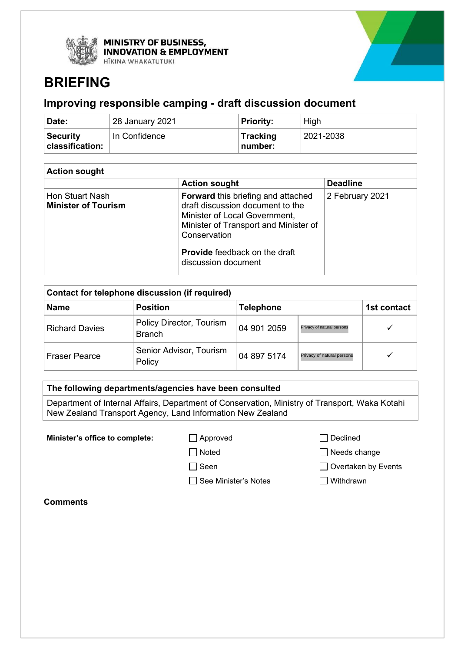



# **BRIEFING**

## **Improving responsible camping - draft discussion document**

| Date:                        | 28 January 2021 | Priority:                  | High                 |
|------------------------------|-----------------|----------------------------|----------------------|
| ⊦Security<br>classification: | In Confidence   | <b>Tracking</b><br>number: | $^{\circ}$ 2021-2038 |

| <b>Action sought</b>                          |                                                                                                                                                                                                                                        |                 |  |
|-----------------------------------------------|----------------------------------------------------------------------------------------------------------------------------------------------------------------------------------------------------------------------------------------|-----------------|--|
|                                               | <b>Action sought</b>                                                                                                                                                                                                                   | <b>Deadline</b> |  |
| Hon Stuart Nash<br><b>Minister of Tourism</b> | <b>Forward</b> this briefing and attached<br>draft discussion document to the<br>Minister of Local Government,<br>Minister of Transport and Minister of<br>Conservation<br><b>Provide</b> feedback on the draft<br>discussion document | 2 February 2021 |  |

| Contact for telephone discussion (if required) |                                           |                  |                            |             |
|------------------------------------------------|-------------------------------------------|------------------|----------------------------|-------------|
| <b>Name</b>                                    | <b>Position</b>                           | <b>Telephone</b> |                            | 1st contact |
| <b>Richard Davies</b>                          | Policy Director, Tourism<br><b>Branch</b> | 04 901 2059      | Privacy of natural persons |             |
| l Fraser Pearce                                | Senior Advisor, Tourism<br>Policy         | 04 897 5174      | Privacy of natural persons |             |

#### **The following departments/agencies have been consulted**

Department of Internal Affairs, Department of Conservation, Ministry of Transport, Waka Kotahi New Zealand Transport Agency, Land Information New Zealand

**Minister's office to complete:**  $\Box$  Approved  $\Box$  Declined

□ Noted Needs change

□ Seen **D** Overtaken by Events

□ See Minister's Notes I Withdrawn

**Comments**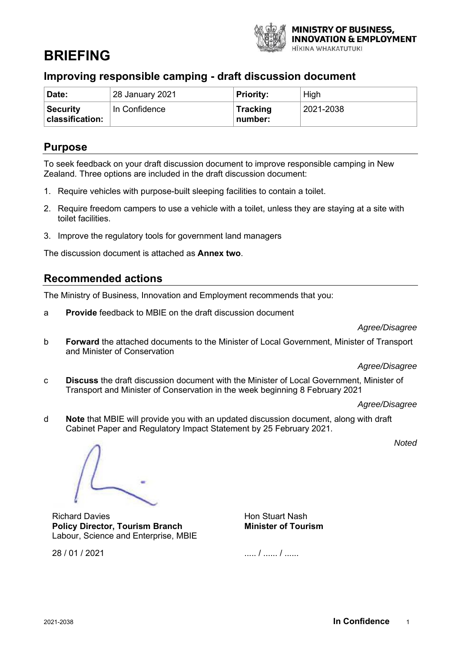

# **BRIEFING**

## **Improving responsible camping - draft discussion document**

| Date:                              | 28 January 2021 | <b>Priority:</b>           | High      |
|------------------------------------|-----------------|----------------------------|-----------|
| <b>Security</b><br>classification: | In Confidence   | <b>Tracking</b><br>number: | 2021-2038 |

### **Purpose**

To seek feedback on your draft discussion document to improve responsible camping in New Zealand. Three options are included in the draft discussion document:

- 1. Require vehicles with purpose-built sleeping facilities to contain a toilet.
- 2. Require freedom campers to use a vehicle with a toilet, unless they are staying at a site with toilet facilities.
- 3. Improve the regulatory tools for government land managers

The discussion document is attached as **Annex two**.

### **Recommended actions**

The Ministry of Business, Innovation and Employment recommends that you:

a **Provide** feedback to MBIE on the draft discussion document

#### *Agree/Disagree*

b **Forward** the attached documents to the Minister of Local Government, Minister of Transport and Minister of Conservation

*Agree/Disagree*

c **Discuss** the draft discussion document with the Minister of Local Government, Minister of Transport and Minister of Conservation in the week beginning 8 February 2021

*Agree/Disagree*

d **Note** that MBIE will provide you with an updated discussion document, along with draft Cabinet Paper and Regulatory Impact Statement by 25 February 2021.

*Noted*

Richard Davies **Policy Director, Tourism Branch** Labour, Science and Enterprise, MBIE

Hon Stuart Nash **Minister of Tourism**

..... / ...... / ......

28 / 01 / 2021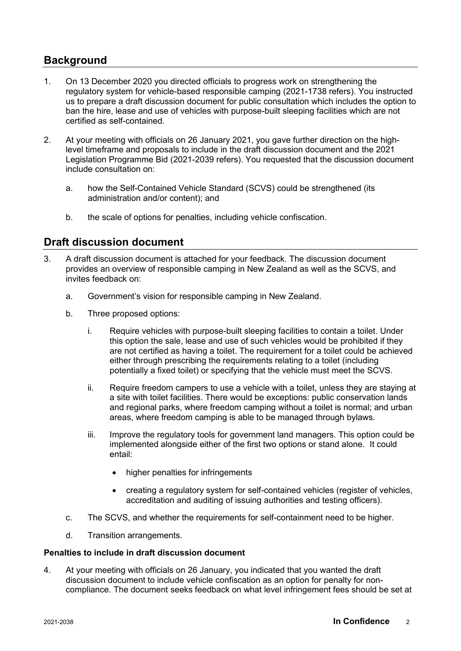### **Background**

- 1. On 13 December 2020 you directed officials to progress work on strengthening the regulatory system for vehicle-based responsible camping (2021-1738 refers). You instructed us to prepare a draft discussion document for public consultation which includes the option to ban the hire, lease and use of vehicles with purpose-built sleeping facilities which are not certified as self-contained.
- 2. At your meeting with officials on 26 January 2021, you gave further direction on the highlevel timeframe and proposals to include in the draft discussion document and the 2021 Legislation Programme Bid (2021-2039 refers). You requested that the discussion document include consultation on:
	- a. how the Self-Contained Vehicle Standard (SCVS) could be strengthened (its administration and/or content); and
	- b. the scale of options for penalties, including vehicle confiscation.

### **Draft discussion document**

- 3. A draft discussion document is attached for your feedback. The discussion document provides an overview of responsible camping in New Zealand as well as the SCVS, and invites feedback on:
	- a. Government's vision for responsible camping in New Zealand.
	- b. Three proposed options:
		- i. Require vehicles with purpose-built sleeping facilities to contain a toilet. Under this option the sale, lease and use of such vehicles would be prohibited if they are not certified as having a toilet. The requirement for a toilet could be achieved either through prescribing the requirements relating to a toilet (including potentially a fixed toilet) or specifying that the vehicle must meet the SCVS.
		- ii. Require freedom campers to use a vehicle with a toilet, unless they are staying at a site with toilet facilities. There would be exceptions: public conservation lands and regional parks, where freedom camping without a toilet is normal; and urban areas, where freedom camping is able to be managed through bylaws.
		- iii. Improve the regulatory tools for government land managers. This option could be implemented alongside either of the first two options or stand alone. It could entail:
			- higher penalties for infringements
			- creating a regulatory system for self-contained vehicles (register of vehicles, accreditation and auditing of issuing authorities and testing officers).
	- c. The SCVS, and whether the requirements for self-containment need to be higher.
	- d. Transition arrangements.

#### **Penalties to include in draft discussion document**

4. At your meeting with officials on 26 January, you indicated that you wanted the draft discussion document to include vehicle confiscation as an option for penalty for noncompliance. The document seeks feedback on what level infringement fees should be set at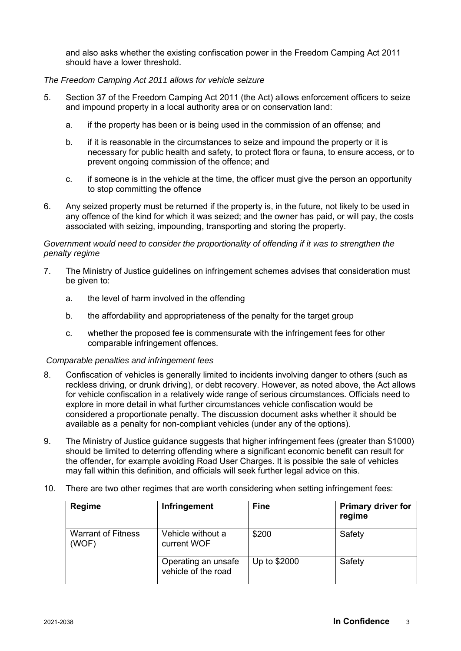and also asks whether the existing confiscation power in the Freedom Camping Act 2011 should have a lower threshold.

#### *The Freedom Camping Act 2011 allows for vehicle seizure*

- 5. Section 37 of the Freedom Camping Act 2011 (the Act) allows enforcement officers to seize and impound property in a local authority area or on conservation land:
	- a. if the property has been or is being used in the commission of an offense; and
	- b. if it is reasonable in the circumstances to seize and impound the property or it is necessary for public health and safety, to protect flora or fauna, to ensure access, or to prevent ongoing commission of the offence; and
	- c. if someone is in the vehicle at the time, the officer must give the person an opportunity to stop committing the offence
- 6. Any seized property must be returned if the property is, in the future, not likely to be used in any offence of the kind for which it was seized; and the owner has paid, or will pay, the costs associated with seizing, impounding, transporting and storing the property.

#### *Government would need to consider the proportionality of offending if it was to strengthen the penalty regime*

- 7. The Ministry of Justice guidelines on infringement schemes advises that consideration must be given to:
	- a. the level of harm involved in the offending
	- b. the affordability and appropriateness of the penalty for the target group
	- c. whether the proposed fee is commensurate with the infringement fees for other comparable infringement offences.

#### *Comparable penalties and infringement fees*

- 8. Confiscation of vehicles is generally limited to incidents involving danger to others (such as reckless driving, or drunk driving), or debt recovery. However, as noted above, the Act allows for vehicle confiscation in a relatively wide range of serious circumstances. Officials need to explore in more detail in what further circumstances vehicle confiscation would be considered a proportionate penalty. The discussion document asks whether it should be available as a penalty for non-compliant vehicles (under any of the options).
- 9. The Ministry of Justice guidance suggests that higher infringement fees (greater than \$1000) should be limited to deterring offending where a significant economic benefit can result for the offender, for example avoiding Road User Charges. It is possible the sale of vehicles may fall within this definition, and officials will seek further legal advice on this.
- 10. There are two other regimes that are worth considering when setting infringement fees:

| Regime                             | Infringement                               | <b>Fine</b>  | <b>Primary driver for</b><br>regime |
|------------------------------------|--------------------------------------------|--------------|-------------------------------------|
| <b>Warrant of Fitness</b><br>(WOF) | Vehicle without a<br>current WOF           | \$200        | Safety                              |
|                                    | Operating an unsafe<br>vehicle of the road | Up to \$2000 | Safety                              |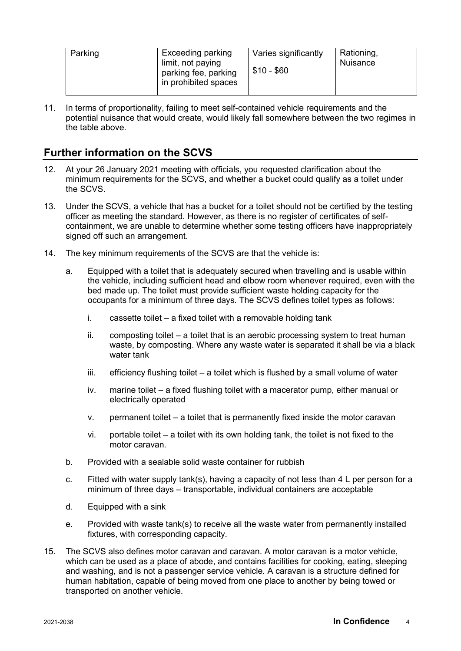| $$10 - $60$<br>parking fee, parking<br>in prohibited spaces | Parking | Exceeding parking<br>limit, not paying | Varies significantly | Rationing,<br>Nuisance |
|-------------------------------------------------------------|---------|----------------------------------------|----------------------|------------------------|
|-------------------------------------------------------------|---------|----------------------------------------|----------------------|------------------------|

11. In terms of proportionality, failing to meet self-contained vehicle requirements and the potential nuisance that would create, would likely fall somewhere between the two regimes in the table above.

# **Further information on the SCVS**

- 12. At your 26 January 2021 meeting with officials, you requested clarification about the minimum requirements for the SCVS, and whether a bucket could qualify as a toilet under the SCVS.
- 13. Under the SCVS, a vehicle that has a bucket for a toilet should not be certified by the testing officer as meeting the standard. However, as there is no register of certificates of selfcontainment, we are unable to determine whether some testing officers have inappropriately signed off such an arrangement.
- 14. The key minimum requirements of the SCVS are that the vehicle is:
	- a. Equipped with a toilet that is adequately secured when travelling and is usable within the vehicle, including sufficient head and elbow room whenever required, even with the bed made up. The toilet must provide sufficient waste holding capacity for the occupants for a minimum of three days. The SCVS defines toilet types as follows:
		- i. cassette toilet a fixed toilet with a removable holding tank
		- ii. composting toilet a toilet that is an aerobic processing system to treat human waste, by composting. Where any waste water is separated it shall be via a black water tank
		- iii. efficiency flushing toilet a toilet which is flushed by a small volume of water
		- iv. marine toilet a fixed flushing toilet with a macerator pump, either manual or electrically operated
		- v. permanent toilet a toilet that is permanently fixed inside the motor caravan
		- vi. portable toilet a toilet with its own holding tank, the toilet is not fixed to the motor caravan.
	- b. Provided with a sealable solid waste container for rubbish
	- c. Fitted with water supply tank(s), having a capacity of not less than  $4 \, L$  per person for a minimum of three days – transportable, individual containers are acceptable
	- d. Equipped with a sink
	- e. Provided with waste tank(s) to receive all the waste water from permanently installed fixtures, with corresponding capacity.
- 15. The SCVS also defines motor caravan and caravan. A motor caravan is a motor vehicle, which can be used as a place of abode, and contains facilities for cooking, eating, sleeping and washing, and is not a passenger service vehicle. A caravan is a structure defined for human habitation, capable of being moved from one place to another by being towed or transported on another vehicle.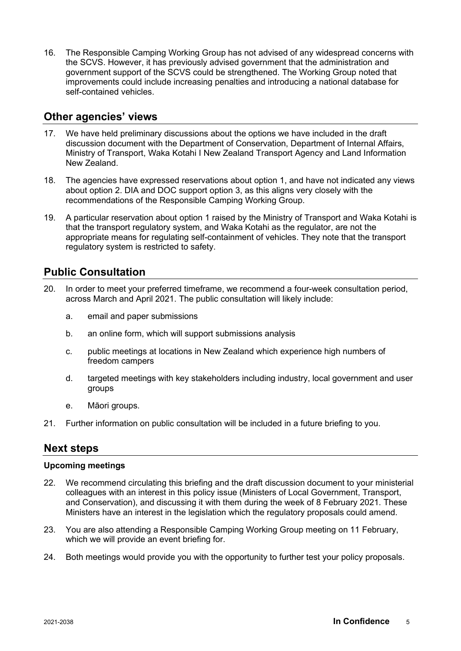16. The Responsible Camping Working Group has not advised of any widespread concerns with the SCVS. However, it has previously advised government that the administration and government support of the SCVS could be strengthened. The Working Group noted that improvements could include increasing penalties and introducing a national database for self-contained vehicles.

### **Other agencies' views**

- 17. We have held preliminary discussions about the options we have included in the draft discussion document with the Department of Conservation, Department of Internal Affairs, Ministry of Transport, Waka Kotahi I New Zealand Transport Agency and Land Information New Zealand.
- 18. The agencies have expressed reservations about option 1, and have not indicated any views about option 2. DIA and DOC support option 3, as this aligns very closely with the recommendations of the Responsible Camping Working Group.
- 19. A particular reservation about option 1 raised by the Ministry of Transport and Waka Kotahi is that the transport regulatory system, and Waka Kotahi as the regulator, are not the appropriate means for regulating self-containment of vehicles. They note that the transport regulatory system is restricted to safety.

### **Public Consultation**

- 20. In order to meet your preferred timeframe, we recommend a four-week consultation period, across March and April 2021. The public consultation will likely include:
	- a. email and paper submissions
	- b. an online form, which will support submissions analysis
	- c. public meetings at locations in New Zealand which experience high numbers of freedom campers
	- d. targeted meetings with key stakeholders including industry, local government and user groups
	- e. Māori groups.
- 21. Further information on public consultation will be included in a future briefing to you.

### **Next steps**

#### **Upcoming meetings**

- 22. We recommend circulating this briefing and the draft discussion document to your ministerial colleagues with an interest in this policy issue (Ministers of Local Government, Transport, and Conservation), and discussing it with them during the week of 8 February 2021. These Ministers have an interest in the legislation which the regulatory proposals could amend.
- 23. You are also attending a Responsible Camping Working Group meeting on 11 February, which we will provide an event briefing for.
- 24. Both meetings would provide you with the opportunity to further test your policy proposals.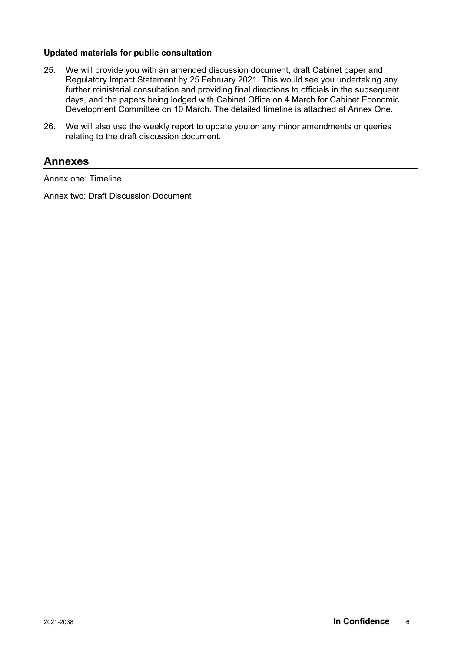#### **Updated materials for public consultation**

- 25. We will provide you with an amended discussion document, draft Cabinet paper and Regulatory Impact Statement by 25 February 2021. This would see you undertaking any further ministerial consultation and providing final directions to officials in the subsequent days, and the papers being lodged with Cabinet Office on 4 March for Cabinet Economic Development Committee on 10 March. The detailed timeline is attached at Annex One.
- 26. We will also use the weekly report to update you on any minor amendments or queries relating to the draft discussion document.

#### **Annexes**

Annex one: Timeline

Annex two: Draft Discussion Document